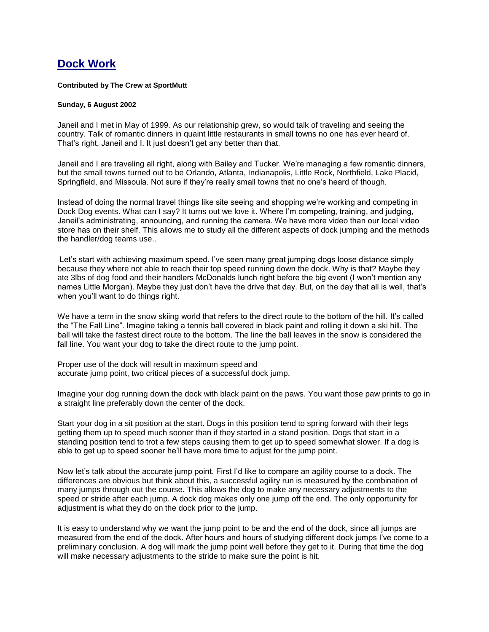## **Dock Work**

## **Contributed by The Crew at SportMutt**

## **Sunday, 6 August 2002**

Janeil and I met in May of 1999. As our relationship grew, so would talk of traveling and seeing the country. Talk of romantic dinners in quaint little restaurants in small towns no one has ever heard of. That's right, Janeil and I. It just doesn't get any better than that.

Janeil and I are traveling all right, along with Bailey and Tucker. We're managing a few romantic dinners, but the small towns turned out to be Orlando, Atlanta, Indianapolis, Little Rock, Northfield, Lake Placid, Springfield, and Missoula. Not sure if they're really small towns that no one's heard of though.

Instead of doing the normal travel things like site seeing and shopping we're working and competing in Dock Dog events. What can I say? It turns out we love it. Where I'm competing, training, and judging, Janeil's administrating, announcing, and running the camera. We have more video than our local video store has on their shelf. This allows me to study all the different aspects of dock jumping and the methods the handler/dog teams use..

Let's start with achieving maximum speed. I've seen many great jumping dogs loose distance simply because they where not able to reach their top speed running down the dock. Why is that? Maybe they ate 3lbs of dog food and their handlers McDonalds lunch right before the big event (I won't mention any names Little Morgan). Maybe they just don't have the drive that day. But, on the day that all is well, that's when you'll want to do things right.

We have a term in the snow skiing world that refers to the direct route to the bottom of the hill. It's called the "The Fall Line". Imagine taking a tennis ball covered in black paint and rolling it down a ski hill. The ball will take the fastest direct route to the bottom. The line the ball leaves in the snow is considered the fall line. You want your dog to take the direct route to the jump point.

Proper use of the dock will result in maximum speed and accurate jump point, two critical pieces of a successful dock jump.

Imagine your dog running down the dock with black paint on the paws. You want those paw prints to go in a straight line preferably down the center of the dock.

Start your dog in a sit position at the start. Dogs in this position tend to spring forward with their legs getting them up to speed much sooner than if they started in a stand position. Dogs that start in a standing position tend to trot a few steps causing them to get up to speed somewhat slower. If a dog is able to get up to speed sooner he'll have more time to adjust for the jump point.

Now let's talk about the accurate jump point. First I'd like to compare an agility course to a dock. The differences are obvious but think about this, a successful agility run is measured by the combination of many jumps through out the course. This allows the dog to make any necessary adjustments to the speed or stride after each jump. A dock dog makes only one jump off the end. The only opportunity for adjustment is what they do on the dock prior to the jump.

It is easy to understand why we want the jump point to be and the end of the dock, since all jumps are measured from the end of the dock. After hours and hours of studying different dock jumps I've come to a preliminary conclusion. A dog will mark the jump point well before they get to it. During that time the dog will make necessary adjustments to the stride to make sure the point is hit.